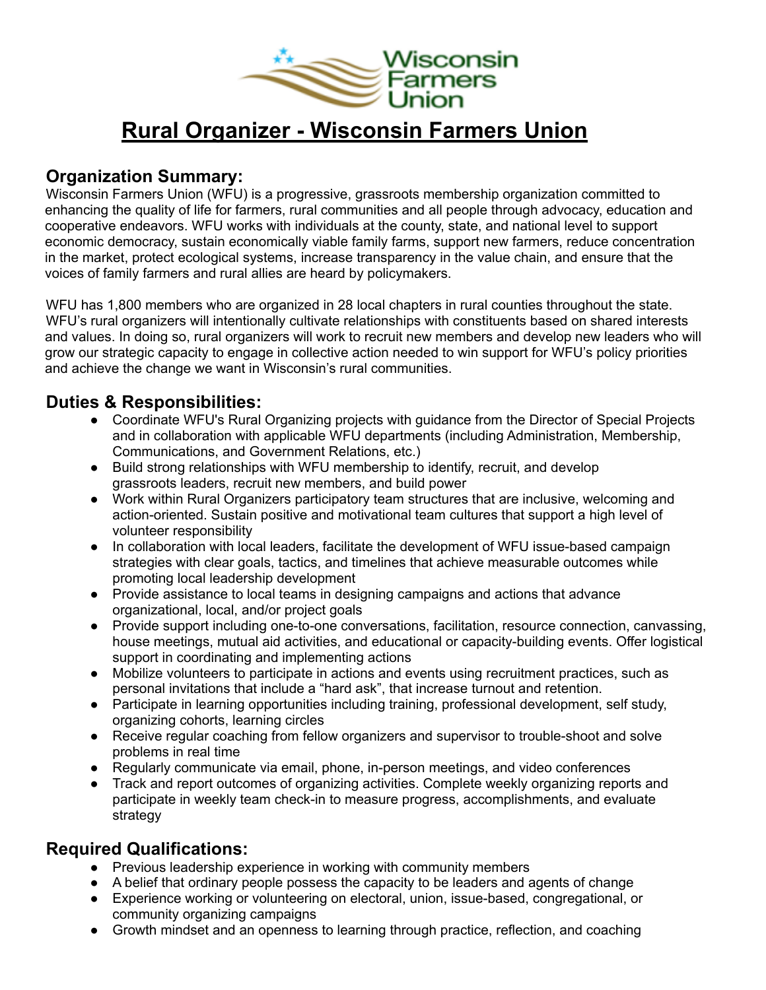

# **Rural Organizer - Wisconsin Farmers Union**

### **Organization Summary:**

Wisconsin Farmers Union (WFU) is a progressive, grassroots membership organization committed to enhancing the quality of life for farmers, rural communities and all people through advocacy, education and cooperative endeavors. WFU works with individuals at the county, state, and national level to support economic democracy, sustain economically viable family farms, support new farmers, reduce concentration in the market, protect ecological systems, increase transparency in the value chain, and ensure that the voices of family farmers and rural allies are heard by policymakers.

WFU has 1,800 members who are organized in 28 local chapters in rural counties throughout the state. WFU's rural organizers will intentionally cultivate relationships with constituents based on shared interests and values. In doing so, rural organizers will work to recruit new members and develop new leaders who will grow our strategic capacity to engage in collective action needed to win support for WFU's policy priorities and achieve the change we want in Wisconsin's rural communities.

## **Duties & Responsibilities:**

- Coordinate WFU's Rural Organizing projects with guidance from the Director of Special Projects and in collaboration with applicable WFU departments (including Administration, Membership, Communications, and Government Relations, etc.)
- Build strong relationships with WFU membership to identify, recruit, and develop grassroots leaders, recruit new members, and build power
- Work within Rural Organizers participatory team structures that are inclusive, welcoming and action-oriented. Sustain positive and motivational team cultures that support a high level of volunteer responsibility
- In collaboration with local leaders, facilitate the development of WFU issue-based campaign strategies with clear goals, tactics, and timelines that achieve measurable outcomes while promoting local leadership development
- Provide assistance to local teams in designing campaigns and actions that advance organizational, local, and/or project goals
- Provide support including one-to-one conversations, facilitation, resource connection, canvassing, house meetings, mutual aid activities, and educational or capacity-building events. Offer logistical support in coordinating and implementing actions
- Mobilize volunteers to participate in actions and events using recruitment practices, such as personal invitations that include a "hard ask", that increase turnout and retention.
- Participate in learning opportunities including training, professional development, self study, organizing cohorts, learning circles
- Receive regular coaching from fellow organizers and supervisor to trouble-shoot and solve problems in real time
- Regularly communicate via email, phone, in-person meetings, and video conferences
- Track and report outcomes of organizing activities. Complete weekly organizing reports and participate in weekly team check-in to measure progress, accomplishments, and evaluate strategy

#### **Required Qualifications:**

- Previous leadership experience in working with community members
- A belief that ordinary people possess the capacity to be leaders and agents of change
- Experience working or volunteering on electoral, union, issue-based, congregational, or community organizing campaigns
- Growth mindset and an openness to learning through practice, reflection, and coaching